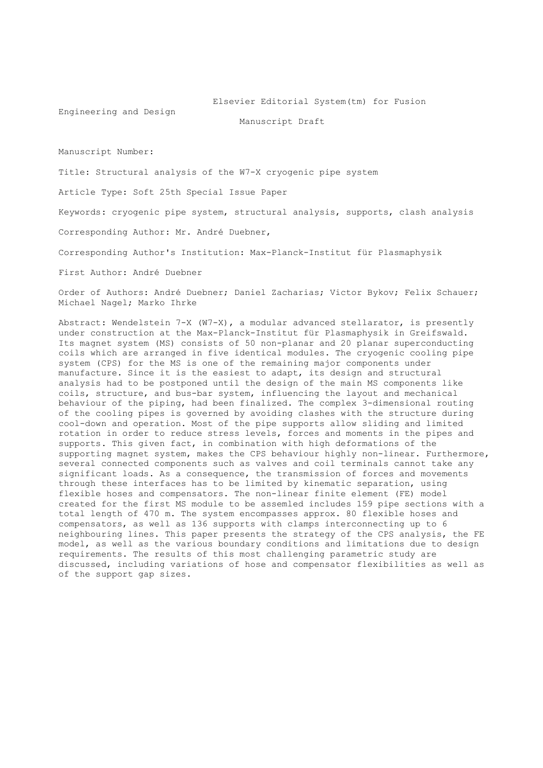#### Elsevier Editorial System(tm) for Fusion

Engineering and Design

Manuscript Draft

Manuscript Number:

Title: Structural analysis of the W7-X cryogenic pipe system

Article Type: Soft 25th Special Issue Paper

Keywords: cryogenic pipe system, structural analysis, supports, clash analysis

Corresponding Author: Mr. André Duebner,

Corresponding Author's Institution: Max-Planck-Institut für Plasmaphysik

First Author: André Duebner

Order of Authors: André Duebner; Daniel Zacharias; Victor Bykov; Felix Schauer; Michael Nagel; Marko Ihrke

Abstract: Wendelstein 7-X (W7-X), a modular advanced stellarator, is presently under construction at the Max-Planck-Institut für Plasmaphysik in Greifswald. Its magnet system (MS) consists of 50 non-planar and 20 planar superconducting coils which are arranged in five identical modules. The cryogenic cooling pipe system (CPS) for the MS is one of the remaining major components under manufacture. Since it is the easiest to adapt, its design and structural analysis had to be postponed until the design of the main MS components like coils, structure, and bus-bar system, influencing the layout and mechanical behaviour of the piping, had been finalized. The complex 3-dimensional routing of the cooling pipes is governed by avoiding clashes with the structure during cool-down and operation. Most of the pipe supports allow sliding and limited rotation in order to reduce stress levels, forces and moments in the pipes and supports. This given fact, in combination with high deformations of the supporting magnet system, makes the CPS behaviour highly non-linear. Furthermore, several connected components such as valves and coil terminals cannot take any significant loads. As a consequence, the transmission of forces and movements through these interfaces has to be limited by kinematic separation, using flexible hoses and compensators. The non-linear finite element (FE) model created for the first MS module to be assemled includes 159 pipe sections with a total length of 470 m. The system encompasses approx. 80 flexible hoses and compensators, as well as 136 supports with clamps interconnecting up to 6 neighbouring lines. This paper presents the strategy of the CPS analysis, the FE model, as well as the various boundary conditions and limitations due to design requirements. The results of this most challenging parametric study are discussed, including variations of hose and compensator flexibilities as well as of the support gap sizes.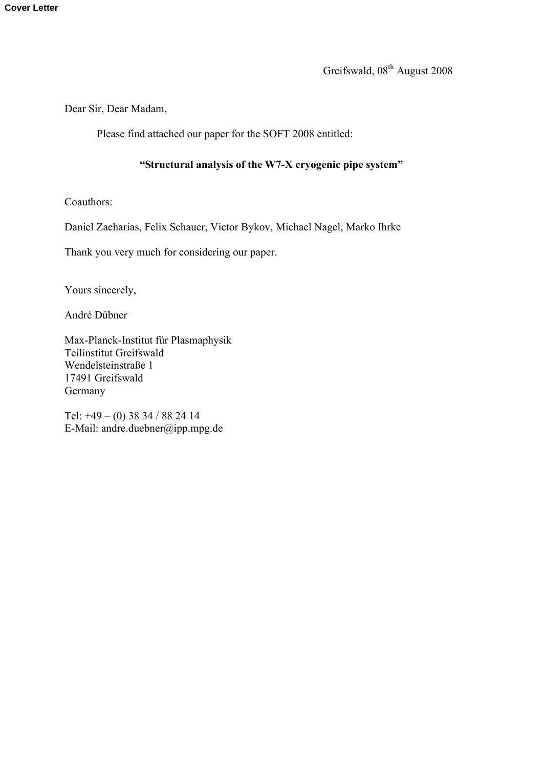Greifswald, 08<sup>th</sup> August 2008

Dear Sir, Dear Madam,

Please find attached our paper for the SOFT 2008 entitled:

## **"Structural analysis of the W7-X cryogenic pipe system"**

Coauthors:

Daniel Zacharias, Felix Schauer, Victor Bykov, Michael Nagel, Marko Ihrke

Thank you very much for considering our paper.

Yours sincerely,

André Dübner

Max-Planck-Institut für Plasmaphysik Teilinstitut Greifswald Wendelsteinstraße 1 17491 Greifswald Germany

Tel: +49 – (0) 38 34 / 88 24 14 E-Mail: andre.duebner@ipp.mpg.de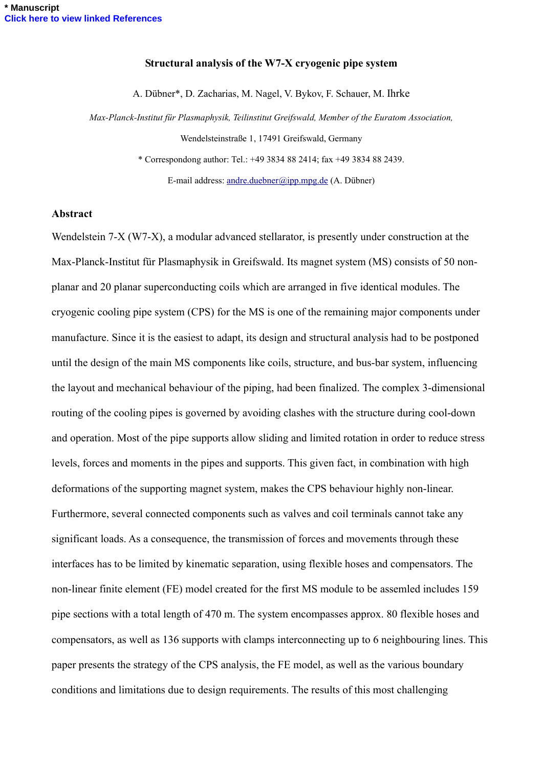## **Structural analysis of the W7-X cryogenic pipe system**

A. Dübner\*, D. Zacharias, M. Nagel, V. Bykov, F. Schauer, M. Ihrke

*Max-Planck-Institut für Plasmaphysik, Teilinstitut Greifswald, Member of the Euratom Association,*  Wendelsteinstraße 1, 17491 Greifswald, Germany

\* Correspondong author: Tel.: +49 3834 88 2414; fax +49 3834 88 2439.

E-mail address: [andre.duebner@ipp.mpg.de](mailto:andre.dueber@ipp.mpg.de) (A. Dübner)

## **Abstract**

Wendelstein 7-X (W7-X), a modular advanced stellarator, is presently under construction at the Max-Planck-Institut für Plasmaphysik in Greifswald. Its magnet system (MS) consists of 50 nonplanar and 20 planar superconducting coils which are arranged in five identical modules. The cryogenic cooling pipe system (CPS) for the MS is one of the remaining major components under manufacture. Since it is the easiest to adapt, its design and structural analysis had to be postponed until the design of the main MS components like coils, structure, and bus-bar system, influencing the layout and mechanical behaviour of the piping, had been finalized. The complex 3-dimensional routing of the cooling pipes is governed by avoiding clashes with the structure during cool-down and operation. Most of the pipe supports allow sliding and limited rotation in order to reduce stress levels, forces and moments in the pipes and supports. This given fact, in combination with high deformations of the supporting magnet system, makes the CPS behaviour highly non-linear. Furthermore, several connected components such as valves and coil terminals cannot take any significant loads. As a consequence, the transmission of forces and movements through these interfaces has to be limited by kinematic separation, using flexible hoses and compensators. The non-linear finite element (FE) model created for the first MS module to be assemled includes 159 pipe sections with a total length of 470 m. The system encompasses approx. 80 flexible hoses and compensators, as well as 136 supports with clamps interconnecting up to 6 neighbouring lines. This paper presents the strategy of the CPS analysis, the FE model, as well as the various boundary conditions and limitations due to design requirements. The results of this most challenging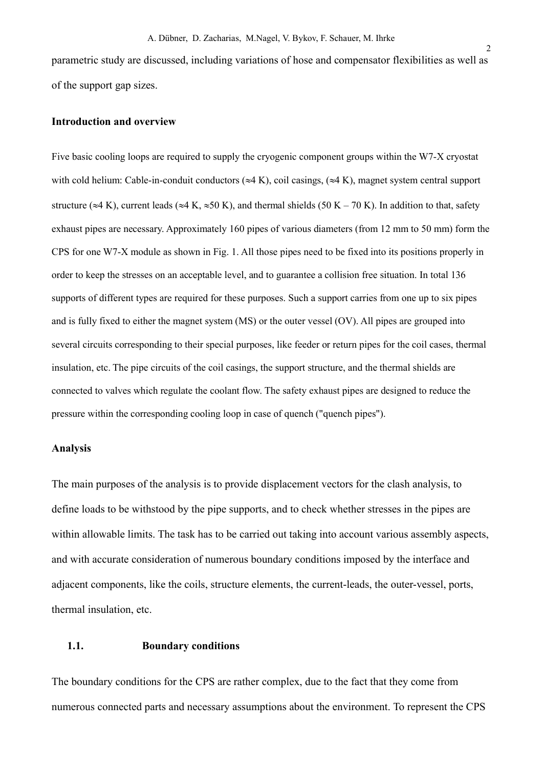parametric study are discussed, including variations of hose and compensator flexibilities as well as of the support gap sizes.

### **Introduction and overview**

Five basic cooling loops are required to supply the cryogenic component groups within the W7-X cryostat with cold helium: Cable-in-conduit conductors  $(\approx 4 \text{ K})$ , coil casings,  $(\approx 4 \text{ K})$ , magnet system central support structure ( $\approx$ 4 K), current leads ( $\approx$ 4 K,  $\approx$ 50 K), and thermal shields (50 K – 70 K). In addition to that, safety exhaust pipes are necessary. Approximately 160 pipes of various diameters (from 12 mm to 50 mm) form the CPS for one W7-X module as shown in Fig. 1. All those pipes need to be fixed into its positions properly in order to keep the stresses on an acceptable level, and to guarantee a collision free situation. In total 136 supports of different types are required for these purposes. Such a support carries from one up to six pipes and is fully fixed to either the magnet system (MS) or the outer vessel (OV). All pipes are grouped into several circuits corresponding to their special purposes, like feeder or return pipes for the coil cases, thermal insulation, etc. The pipe circuits of the coil casings, the support structure, and the thermal shields are connected to valves which regulate the coolant flow. The safety exhaust pipes are designed to reduce the pressure within the corresponding cooling loop in case of quench ("quench pipes").

## **Analysis**

The main purposes of the analysis is to provide displacement vectors for the clash analysis, to define loads to be withstood by the pipe supports, and to check whether stresses in the pipes are within allowable limits. The task has to be carried out taking into account various assembly aspects, and with accurate consideration of numerous boundary conditions imposed by the interface and adjacent components, like the coils, structure elements, the current-leads, the outer-vessel, ports, thermal insulation, etc.

## **1.1. Boundary conditions**

The boundary conditions for the CPS are rather complex, due to the fact that they come from numerous connected parts and necessary assumptions about the environment. To represent the CPS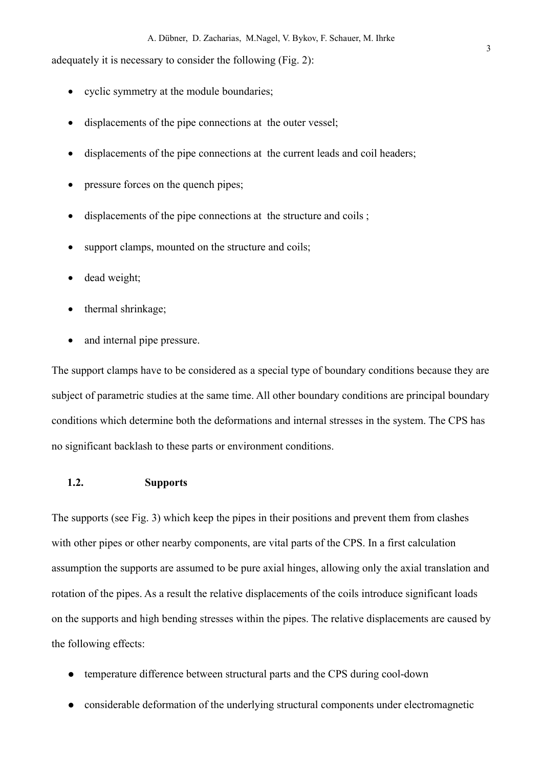adequately it is necessary to consider the following [\(Fig. 2](#page-7-0)):

- cyclic symmetry at the module boundaries;
- displacements of the pipe connections at the outer vessel;
- displacements of the pipe connections at the current leads and coil headers;
- pressure forces on the quench pipes;
- displacements of the pipe connections at the structure and coils ;
- support clamps, mounted on the structure and coils;
- dead weight;
- thermal shrinkage;
- and internal pipe pressure.

The support clamps have to be considered as a special type of boundary conditions because they are subject of parametric studies at the same time. All other boundary conditions are principal boundary conditions which determine both the deformations and internal stresses in the system. The CPS has no significant backlash to these parts or environment conditions.

## **1.2. Supports**

The supports (see [Fig. 3](#page-7-1)) which keep the pipes in their positions and prevent them from clashes with other pipes or other nearby components, are vital parts of the CPS. In a first calculation assumption the supports are assumed to be pure axial hinges, allowing only the axial translation and rotation of the pipes. As a result the relative displacements of the coils introduce significant loads on the supports and high bending stresses within the pipes. The relative displacements are caused by the following effects:

- temperature difference between structural parts and the CPS during cool-down
- considerable deformation of the underlying structural components under electromagnetic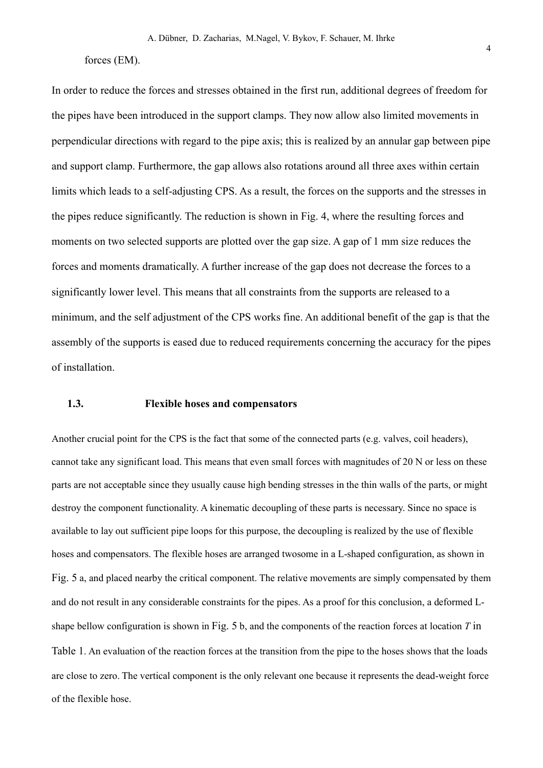#### forces (EM).

In order to reduce the forces and stresses obtained in the first run, additional degrees of freedom for the pipes have been introduced in the support clamps. They now allow also limited movements in perpendicular directions with regard to the pipe axis; this is realized by an annular gap between pipe and support clamp. Furthermore, the gap allows also rotations around all three axes within certain limits which leads to a self-adjusting CPS. As a result, the forces on the supports and the stresses in the pipes reduce significantly. The reduction is shown in [Fig. 4](#page-7-2), where the resulting forces and moments on two selected supports are plotted over the gap size. A gap of 1 mm size reduces the forces and moments dramatically. A further increase of the gap does not decrease the forces to a significantly lower level. This means that all constraints from the supports are released to a minimum, and the self adjustment of the CPS works fine. An additional benefit of the gap is that the assembly of the supports is eased due to reduced requirements concerning the accuracy for the pipes of installation.

## **1.3. Flexible hoses and compensators**

Another crucial point for the CPS is the fact that some of the connected parts (e.g. valves, coil headers), cannot take any significant load. This means that even small forces with magnitudes of 20 N or less on these parts are not acceptable since they usually cause high bending stresses in the thin walls of the parts, or might destroy the component functionality. A kinematic decoupling of these parts is necessary. Since no space is available to lay out sufficient pipe loops for this purpose, the decoupling is realized by the use of flexible hoses and compensators. The flexible hoses are arranged twosome in a L-shaped configuration, as shown in [Fig. 5](#page-7-3) a, and placed nearby the critical component. The relative movements are simply compensated by them and do not result in any considerable constraints for the pipes. As a proof for this conclusion, a deformed Lshape bellow configuration is shown in [Fig. 5](#page-7-3) b, and the components of the reaction forces at location *T* in [Table 1](#page-7-4). An evaluation of the reaction forces at the transition from the pipe to the hoses shows that the loads are close to zero. The vertical component is the only relevant one because it represents the dead-weight force of the flexible hose.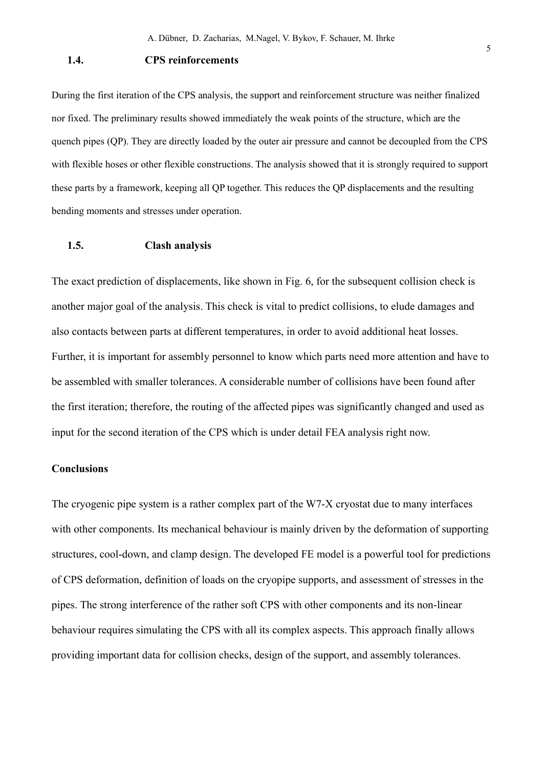## **1.4. CPS reinforcements**

During the first iteration of the CPS analysis, the support and reinforcement structure was neither finalized nor fixed. The preliminary results showed immediately the weak points of the structure, which are the quench pipes (QP). They are directly loaded by the outer air pressure and cannot be decoupled from the CPS with flexible hoses or other flexible constructions. The analysis showed that it is strongly required to support these parts by a framework, keeping all QP together. This reduces the QP displacements and the resulting bending moments and stresses under operation.

## **1.5. Clash analysis**

The exact prediction of displacements, like shown in [Fig. 6,](#page-7-5) for the subsequent collision check is another major goal of the analysis. This check is vital to predict collisions, to elude damages and also contacts between parts at different temperatures, in order to avoid additional heat losses. Further, it is important for assembly personnel to know which parts need more attention and have to be assembled with smaller tolerances. A considerable number of collisions have been found after the first iteration; therefore, the routing of the affected pipes was significantly changed and used as input for the second iteration of the CPS which is under detail FEA analysis right now.

## **Conclusions**

The cryogenic pipe system is a rather complex part of the W7-X cryostat due to many interfaces with other components. Its mechanical behaviour is mainly driven by the deformation of supporting structures, cool-down, and clamp design. The developed FE model is a powerful tool for predictions of CPS deformation, definition of loads on the cryopipe supports, and assessment of stresses in the pipes. The strong interference of the rather soft CPS with other components and its non-linear behaviour requires simulating the CPS with all its complex aspects. This approach finally allows providing important data for collision checks, design of the support, and assembly tolerances.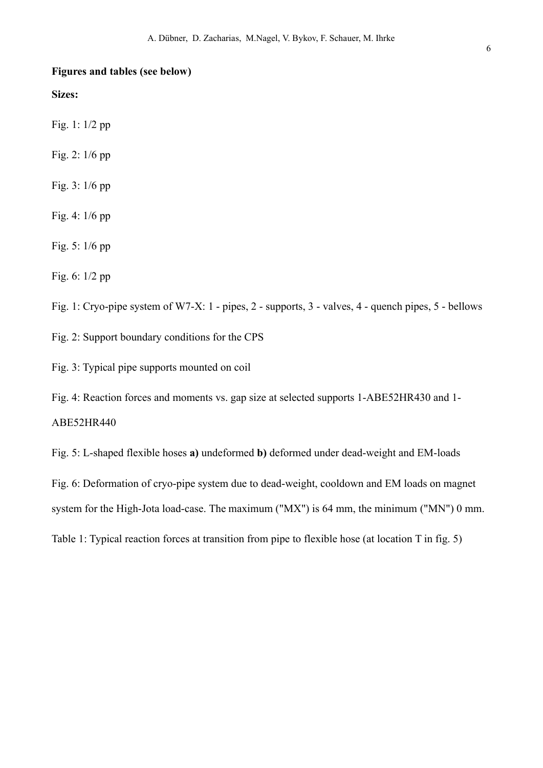## **Figures and tables (see below)**

**Sizes:** 

Fig. 1: 1/2 pp

Fig. 2: 1/6 pp

Fig. 3: 1/6 pp

Fig. 4: 1/6 pp

Fig. 5: 1/6 pp

Fig. 6: 1/2 pp

<span id="page-7-0"></span>Fig. 1: Cryo-pipe system of W7-X: 1 - pipes, 2 - supports, 3 - valves, 4 - quench pipes, 5 - bellows

<span id="page-7-1"></span>Fig. 2: Support boundary conditions for the CPS

<span id="page-7-2"></span>Fig. 3: Typical pipe supports mounted on coil

<span id="page-7-3"></span>Fig. 4: Reaction forces and moments vs. gap size at selected supports 1-ABE52HR430 and 1- ABE52HR440

<span id="page-7-5"></span>Fig. 5: L-shaped flexible hoses **a)** undeformed **b)** deformed under dead-weight and EM-loads

Fig. 6: Deformation of cryo-pipe system due to dead-weight, cooldown and EM loads on magnet

<span id="page-7-4"></span>system for the High-Jota load-case. The maximum ("MX") is 64 mm, the minimum ("MN") 0 mm.

Table 1: Typical reaction forces at transition from pipe to flexible hose (at location T in fig. 5)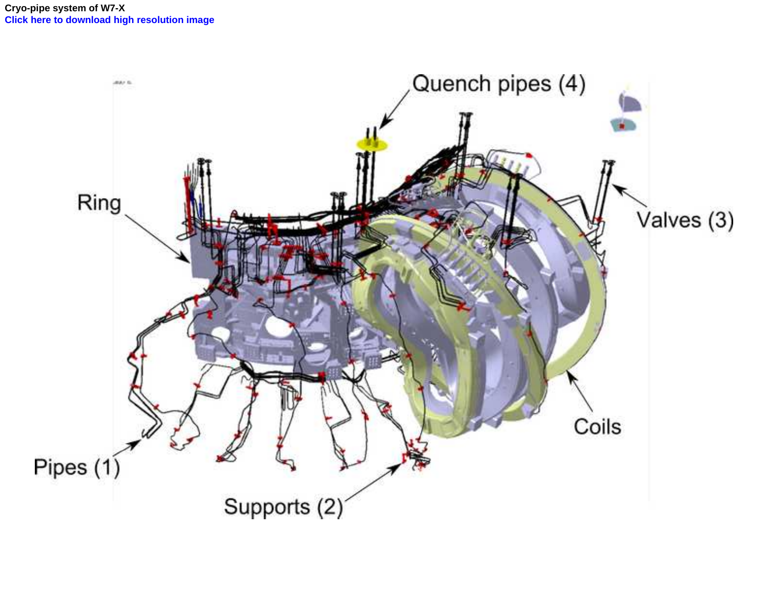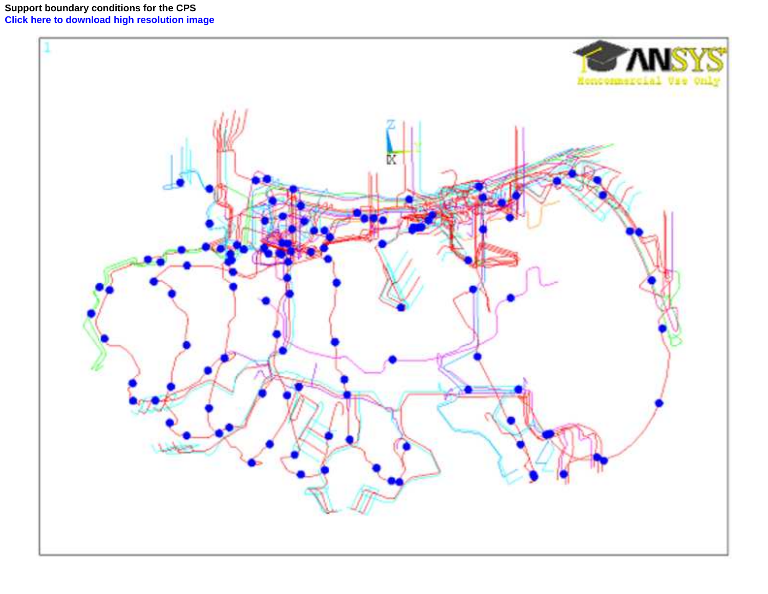**Support boundary conditions for the CPS [Click here to download high resolution image](http://ees.elsevier.com/fusengdes/download.aspx?id=48077&guid=d93dbfcc-2722-442d-b6c6-3d5493a1347e&scheme=1)**

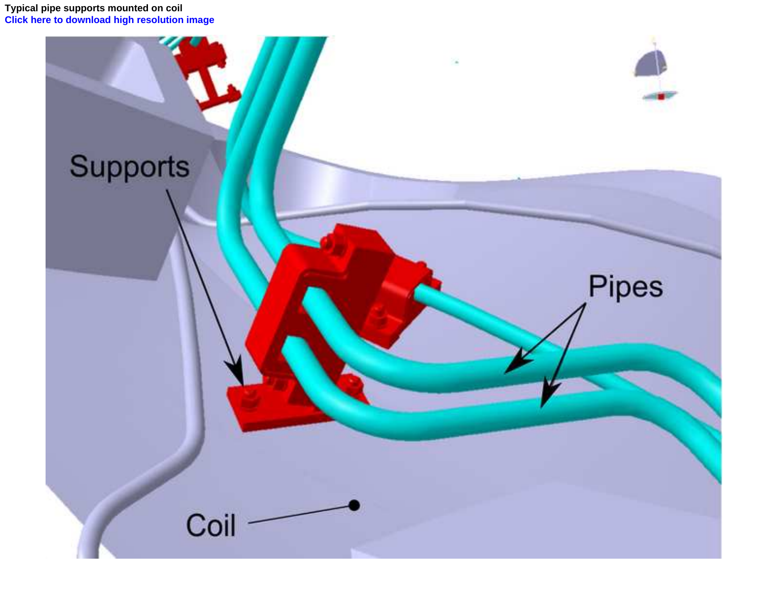**Typical pipe supports mounted on coil [Click here to download high resolution image](http://ees.elsevier.com/fusengdes/download.aspx?id=48079&guid=02563c53-b201-4081-a0bd-3f8c4557547a&scheme=1)**

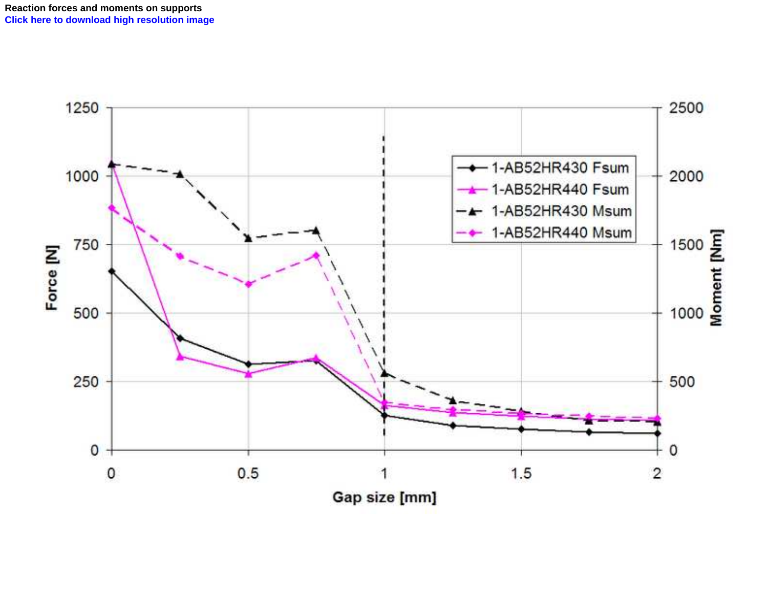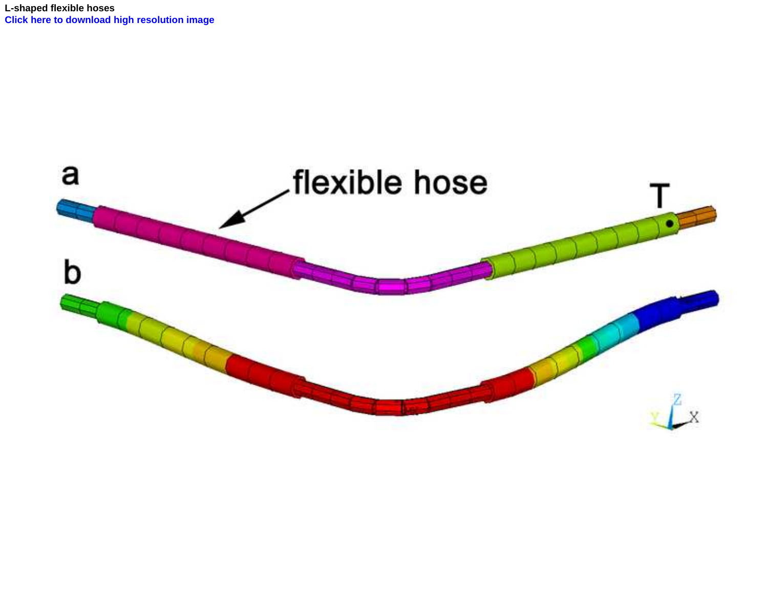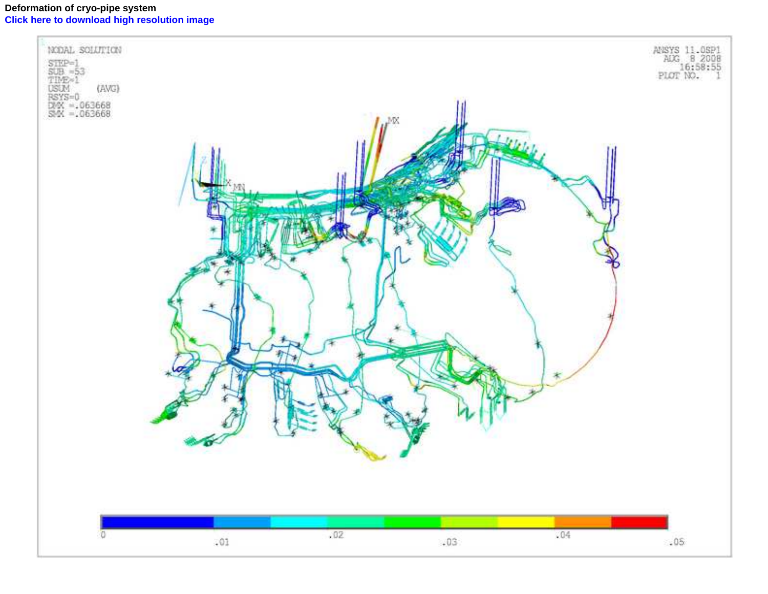# **Deformation of cryo-pipe system [Click here to download high resolution image](http://ees.elsevier.com/fusengdes/download.aspx?id=48096&guid=06ebabf8-0383-46f8-bce4-2f0015096154&scheme=1)**